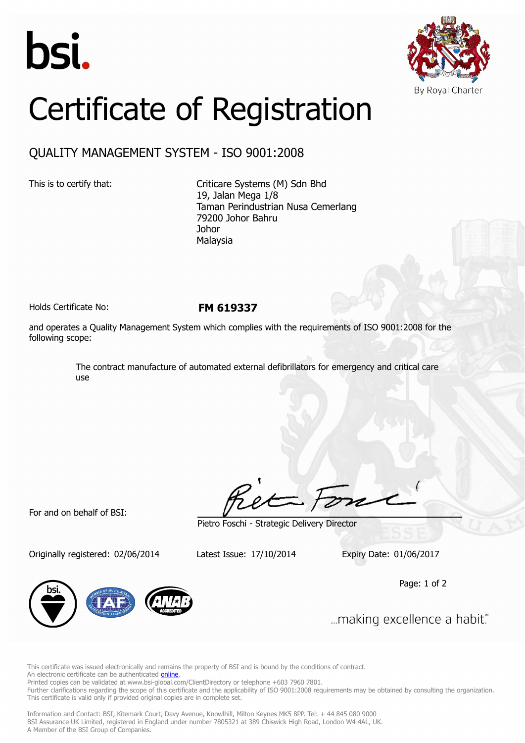



## Certificate of Registration

## QUALITY MANAGEMENT SYSTEM - ISO 9001:2008

This is to certify that: Criticare Systems (M) Sdn Bhd 19, Jalan Mega 1/8 Taman Perindustrian Nusa Cemerlang 79200 Johor Bahru Johor Malaysia

Holds Certificate No: **FM 619337**

and operates a Quality Management System which complies with the requirements of ISO 9001:2008 for the following scope:

> The contract manufacture of automated external defibrillators for emergency and critical care use

For and on behalf of BSI:

Originally registered: 02/06/2014 Latest Issue: 17/10/2014 Expiry Date: 01/06/2017

Pietro Foschi - Strategic Delivery Director

Page: 1 of 2



... making excellence a habit."

This certificate was issued electronically and remains the property of BSI and is bound by the conditions of contract. An electronic certificate can be authenticated **[online](https://pgplus.bsigroup.com/CertificateValidation/CertificateValidator.aspx?CertificateNumber=FM+619337&ReIssueDate=17%2f10%2f2014&Template=malaysia_en)** 

Printed copies can be validated at www.bsi-global.com/ClientDirectory or telephone +603 7960 7801.

Further clarifications regarding the scope of this certificate and the applicability of ISO 9001:2008 requirements may be obtained by consulting the organization. This certificate is valid only if provided original copies are in complete set.

Information and Contact: BSI, Kitemark Court, Davy Avenue, Knowlhill, Milton Keynes MK5 8PP. Tel: + 44 845 080 9000 BSI Assurance UK Limited, registered in England under number 7805321 at 389 Chiswick High Road, London W4 4AL, UK. A Member of the BSI Group of Companies.